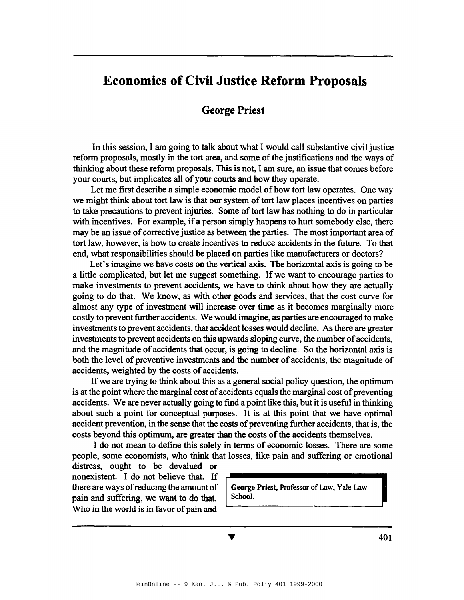# **Economics of Civil Justice Reform Proposals**

#### **George Priest**

In this session, I am going to talk about what I would call substantive civil justice reform proposals, mostly in the tort area, and some of the justifications and the ways of thinking about these reform proposals. This is not, I am sure, an issue that comes before your courts, but implicates all of your courts and how they operate.

Let me first describe a simple economic model of how tort law operates. One way we might think about tort law is that our system of tort law places incentives on parties to take precautions to prevent injuries. Some of tort law has nothing to do in particular with incentives. For example, if a person simply happens to hurt somebody else, there may be an issue of corrective justice as between the parties. The most important area of tort law, however, is how to create incentives to reduce accidents in the future. To that end, what responsibilities should be placed on parties like manufacturers or doctors?

Let's imagine we have costs on the vertical axis. The horizontal axis is going to be a little complicated, but let me suggest something. If we want to encourage parties to make investments to prevent accidents, we have to think about how they are actually going to do that. We know, as with other goods and services, that the cost curve for almost any type of investment will increase over time as it becomes marginally more costly to prevent further accidents. We would imagine, as parties are encouraged to make investments to prevent accidents, that accident losses would decline. As there are greater investments to prevent accidents on this upwards sloping curve, the number of accidents, and the magnitude of accidents that occur, is going to decline. So the horizontal axis is both the level of preventive investments and the number of accidents, the magnitude of accidents, weighted by the costs of accidents.

If we are trying to think about this as a general social policy question, the optimum is at the point where the marginal cost of accidents equals the marginal cost of preventing accidents. We are never actually going to find a point like this, but it is useful in thinking about such a point for conceptual purposes. It is at this point that we have optimal accident prevention, in the sense that the costs of preventing further accidents, that is, the costs beyond this optimum, are greater than the costs of the accidents themselves.

I do not mean to define this solely in terms of economic losses. There are some people, some economists, who think that losses, like pain and suffering or emotional

distress, ought to be devalued or nonexistent. I do not believe that. If there are ways of reducing the amount of  $\Box$  George Priest, Professor of Law, Yale Law pain and suffering, we want to do that.  $\vert$  School. Who in the world is in favor of pain and

V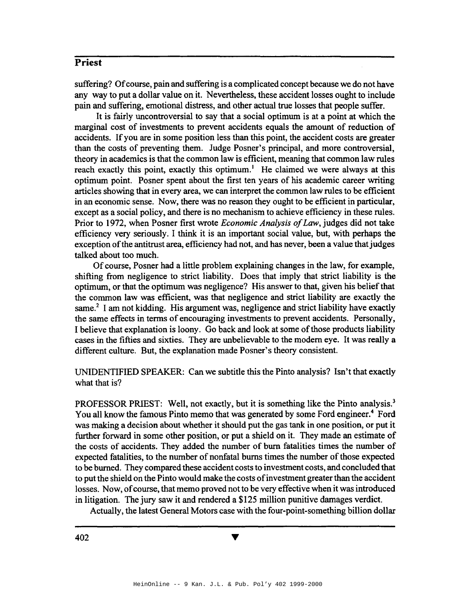suffering? Ofcourse, pain and suffering is a complicated concept because we do not have any way to put a dollar value on it. Nevertheless, these accident losses ought to include pain and suffering, emotional distress, and other actual true losses that people suffer.

It is fairly uncontroversial to say that a social optimum is at a point at which the marginal cost of investments to prevent accidents equals the amount of reduction of accidents. If you are in some position less than this point, the accident costs are greater than the costs of preventing them. Judge Posner's principal, and more controversial, theory in academics is that the common law is efficient, meaning that common law rules reach exactly this point, exactly this optimum.<sup>1</sup> He claimed we were always at this optimum point. Posner spent about the first ten years of his academic career writing articles showing that in every area, we can interpret the common law rules to be efficient in an economic sense. Now, there was no reason they ought to be efficient in particular, except as a social policy, and there is no mechanism to achieve efficiency in these rules. Prior to 1972, when Posner first wrote *Economic Analysis of Law*, judges did not take efficiency very seriously. I think it is an important social value, but, with perhaps the exception of the antitrust area, efficiency had not, and has never, been a value that judges talked about too much.

Of course, Posner had a little problem explaining changes in the law, for example, shifting from negligence to strict liability. Does that imply that strict liability is the optimum, or that the optimum was negligence? His answer to that, given his belief that the common law was efficient, was that negligence and strict liability are exactly the same.<sup>2</sup> I am not kidding. His argument was, negligence and strict liability have exactly the same effects in terms of encouraging investments to prevent accidents. Personally, I believe that explanation is loony. Go back and look at some of those products liability cases in the fifties and sixties. They are unbelievable to the modem eye. It was really a different culture. But, the explanation made Posner's theory consistent.

UNIDENTIFIED SPEAKER: Can we subtitle this the Pinto analysis? Isn't that exactly what that is?

PROFESSOR PRIEST: Well, not exactly, but it is something like the Pinto analysis.<sup>3</sup> You all know the famous Pinto memo that was generated by some Ford engineer.<sup>4</sup> Ford was making a decision about whether it should put the gas tank in one position, or put it further forward in some other position, or put a shield on it. They made an estimate of the costs of accidents. They added the number of burn fatalities times the number of expected fatalities, to the number of nonfatal burns times the number of those expected to be burned. They compared these accident costs to investment costs, and concluded that to put the shield on the Pinto would make the costs of investment greater than the accident losses. Now, of course, that memo proved not to be very effective when it was introduced in litigation. The jury saw it and rendered a \$125 million punitive damages verdict.

Actually, the latest General Motors case with the four-point-something billion dollar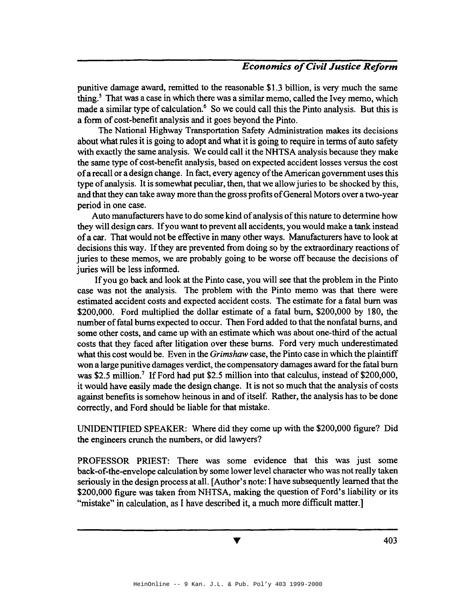punitive damage award, remitted to the reasonable \$1.3 billion, is very much the same thing.<sup>5</sup> That was a case in which there was a similar memo, called the Ivey memo, which made a similar type of calculation.<sup>6</sup> So we could call this the Pinto analysis. But this is a fonn of cost-benefit analysis and it goes beyond the Pinto.

The National Highway Transportation Safety Administration makes its decisions about what rules it is going to adopt and what it is going to require in terms of auto safety with exactly the same analysis. We could call it the NHTSA analysis because they make the same type of cost-benefit analysis, based on expected accident losses versus the cost ofa recall or a design change. In fact, every agency ofthe American government uses this type of analysis. It is somewhat peculiar, then, that we allow juries to be shocked by this, and that they can take away more than the gross profits of General Motors over a two-year period in one case.

Auto manufacturers have to do some kind of analysis of this nature to determine how they will design cars. Ifyou want to prevent all accidents, you would make a tank instead ofa car. That would not be effective in many other ways. Manufacturers have to look at decisions this way. If they are prevented from doing so by the extraordinary reactions of juries to these memos, we are probably going to be worse off because the decisions of juries will be less informed.

Ifyou go back and look at the Pinto case, you will see that the problem in the Pinto case was not the analysis. The problem with the Pinto memo was that there were estimated accident costs and expected accident costs. The estimate for a fatal burn was \$200,000. Ford multiplied the dollar estimate of a fatal burn, \$200,000 by 180, the number offatal burns expected to occur. Then Ford added to that the nonfatal burns, and some other costs, and came up with an estimate which was about one-third of the actual costs that they faced after litigation over these burns. Ford very much underestimated what this cost would be. Even in the *Grimshaw* case, the Pinto case in which the plaintiff won a large punitive damages verdict, the compensatory damages award for the fatal burn was \$2.5 million.' If Ford had put \$2.5 million into that calculus, instead of \$200,000, it would have easily made the design change. It is not so much that the analysis of costs against benefits is somehow heinous in and of itself. Rather, the analysis has to be done correctly, and Ford should be liable for that mistake.

UNIDENTIFIED SPEAKER: Where did they come up with the \$200,000 figure? Did the engineers crunch the numbers, or did lawyers?

PROFESSOR PRIEST: There was some evidence that this was just some back-of-the-envelope calculation by some lower level character who was not really taken seriously in the design process at all. [Author's note: I have subsequently learned that the \$200,000 figure was taken from NHTSA, making the question of Ford's liability or its "mistake" in calculation, as I have described it, a much more difficult matter.]

v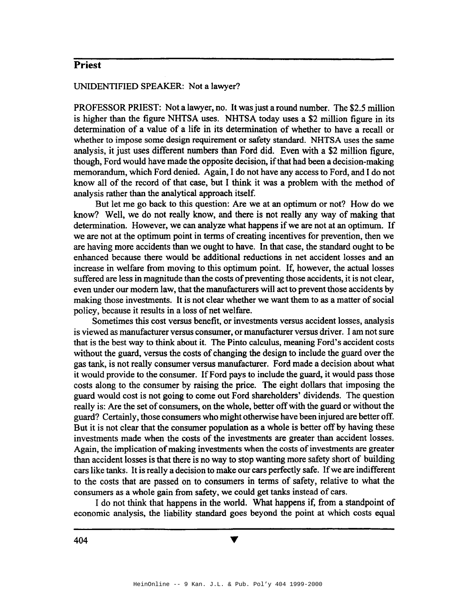#### UNIDENTIFIED SPEAKER: Not a lawyer?

PROFESSOR PRIEST: Not a lawyer, no. It was just a round number. The \$2.5 million is higher than the figure NHTSA uses. NHTSA today uses a \$2 million figure in its determination of a value of a life in its determination of whether to have a recall or whether to impose some design requirement or safety standard. NHTSA uses the same analysis, it just uses different numbers than Ford did. Even with a \$2 million figure, though, Ford would have made the opposite decision, ifthat had been a decision-making memorandum, which Ford denied. Again, I do not have any access to Ford, and I do not know all of the record of that case, but I think it was a problem with the method of analysis rather than the analytical approach itself.

But let me go back to this question: Are we at an optimum or not? How do we know? Well, we do not really know, and there is not really any way of making that determination. However, we can analyze what happens if we are not at an optimum. If we are not at the optimum point in terms of creating incentives for prevention, then we are having more accidents than we ought to have. In that case, the standard ought to be enhanced because there would be additional reductions in net accident losses and an increase in welfare from moving to this optimum point. If, however, the actual losses suffered are less in magnitude than the costs of preventing those accidents, it is not clear, even under our modem law, that the manufacturers will act to prevent those accidents by making those investments. It is not clear whether we want them to as a matter of social policy, because it results in a loss of net welfare.

Sometimes this cost versus benefit, or investments versus accident losses, analysis is viewed as manufacturer versus consumer, or manufacturer versus driver. I am not sure that is the best way to think about it. The Pinto calculus, meaning Ford's accident costs without the guard, versus the costs of changing the design to include the guard over the gas tank, is not really consumer versus manufacturer. Ford made a decision about what it would provide to the consumer. If Ford pays to include the guard, it would pass those costs along to the consumer by raising the price. The eight dollars that imposing the guard would cost is not going to come out Ford shareholders' dividends. The question really is: Are the set of consumers, on the whole, better offwith the guard or without the guard? Certainly, those consumers who might otherwise have been injured are better off. But it is not clear that the consumer population as a whole is better off by having these investments made when the costs of the investments are greater than accident losses. Again, the implication of making investments when the costs of investments are greater than accident losses is that there is no way to stop wanting more safety short of building cars like tanks. It is really a decision to make our cars perfectly safe. If we are indifferent to the costs that are passed on to consumers in terms of safety, relative to what the consumers as a whole gain from safety, we could get tanks instead of cars.

I do not think that happens in the world. What happens if, from a standpoint of economic analysis, the liability standard goes beyond the point at which costs equal

v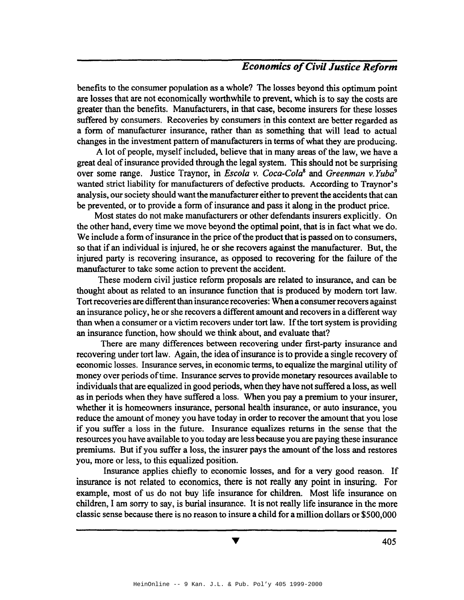benefits to the consumer population as a whole? The losses beyond this optimum point are losses that are not economically worthwhile to prevent, which is to say the costs are greater than the benefits. Manufacturers, in that case, become insurers for these losses suffered by consumers. Recoveries by consumers in this context are better regarded as a form of manufacturer insurance, rather than as·something that will lead to actual changes in the investment pattern of manufacturers in terms of what they are producing.

A lot of people, myself included, believe that in many areas of the law, we have a great deal of insurance provided through the legal system. This should not be surprising over some range. Justice Traynor, in *Escola v. Coca-Cola*<sup>8</sup> and *Greenman v. Yuba*<sup>9</sup> wanted strict liability for manufacturers of defective products. According to Traynor's analysis, our society should want the manufacturer either to prevent the accidents that can be prevented, or to provide a form of insurance and pass it along in the product price.

Most states do not make manufacturers or other defendants insurers explicitly. On the other hand, every time we move beyond the optimal point, that is in fact what we do. We include a form of insurance in the price of the product that is passed on to consumers, so that if an individual is injured, he or she recovers against the manufacturer. But, the injured party is recovering insurance, as opposed to recovering for the failure of the manufacturer to take some action to prevent the accident.

These modem civil justice reform proposals are related to insurance, and can be thought about as related to an insurance function that is produced by modem tort law. Tort recoveries are different than insurance recoveries: When a consumer recovers against an insurance policy, he or she recovers a different amount and recovers in a different way than when a consumer or a victim recovers under tort law. Ifthe tort system is providing an insurance function, how should we think about, and evaluate that?

There are many differences between recovering under first-party insurance and recovering under tort law. Again, the idea of insurance is to provide a single recovery of economic losses. Insurance serves, in economic terms, to equalize the marginal utility of money over periods of time. Insurance serves to provide monetary resources available to individuals that are equalized in good periods, when they have not suffered a loss, as well as in periods when they have suffered a loss. When you pay a premium to your insurer, whether it is homeowners insurance, personal health insurance, or auto insurance, you reduce the amount of money you have today in order to recover the amount that you lose if you suffer a loss in the future. Insurance equalizes returns in the sense that the resources you have available to you today are less because you are paying these insurance premiums. But if you suffer a loss, the insurer pays the amount of the loss and restores you, more or less, to this equalized position.

Insurance applies chiefly to economic losses, and for a very good reason. If insurance is not related to economics, there is not really any point in insuring. For example, most of us do not buy life insurance for children. Most life insurance on children, I am sorry to say, is burial insurance. It is not really life insurance in the more classic sense because there is no reason to insure a child for a million dollars or \$500,000

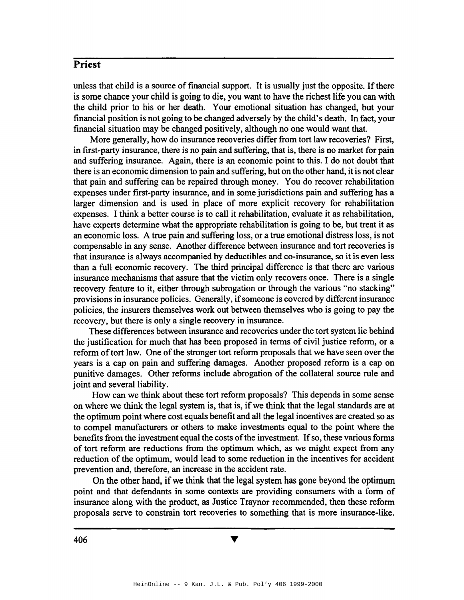unless that child is a source offmancial support. It is usually just the opposite. Ifthere is some chance your child is going to die, you want to have the richest life you can with the child prior to his or her death. Your emotional situation has changed, but your financial position is not going to be changed adversely by the child's death. In fact, your financial situation may be changed positively, although no one would want that.

More generally, how do insurance recoveries differ from tort law recoveries? First, in first-party insurance, there is no pain and suffering, that is, there is no market for pain and suffering insurance. Again, there is an economic point to this. I do not doubt that there is an economic dimension to pain and suffering, but on the other hand, it is not clear that pain and suffering can be repaired through money. You do recover rehabilitation expenses under first-party insurance, and in some jurisdictions pain and suffering has a larger dimension and is used in place of more explicit recovery for rehabilitation expenses. I think a better course is to call it rehabilitation, evaluate it as rehabilitation, have experts determine what the appropriate rehabilitation is going to be, but treat it as an economic loss. A true pain and suffering loss, or a true emotional distress loss, is not compensable in any sense. Another difference between insurance and tort recoveries is that insurance is always accompanied by deductibles and co-insurance, so it is even less than a full economic recovery. The third principal difference is that there are various insurance mechanisms that assure that the victim only recovers once. There is a single recovery feature to it, either through subrogation or through the various "no stacking" provisions in insurance policies. Generally, if someone is covered by different insurance policies, the insurers themselves work out between themselves who is going to pay the recovery, but there is only a single recovery in insurance.

These differences between insurance and recoveries under the tort system lie behind the justification for much that has been proposed in terms of civil justice reform, or a reform of tort law. One of the stronger tort reform proposals that we have seen over the years is a cap on pain and suffering damages. Another proposed reform is a cap on punitive damages. Other reforms include abrogation of the collateral source rule and joint and several liability.

How can we think about these tort reform proposals? This depends in some sense on where we think the legal system is, that is, if we think that the legal standards are at the optimum point where cost equals benefit and all the legal incentives are created so as to compel manufacturers or others to make investments equal to the point where the benefits from the investment equal the costs of the investment. If so, these various forms of tort reform are reductions from the optimum which, as we might expect from any reduction of the optimum, would lead to some reduction in the incentives for accident prevention and, therefore, an increase in the accident rate.

On the other hand, if we think that the legal system has gone beyond the optimum point and that defendants in some contexts are providing consumers with a form of insurance along with the product, as Justice Traynor recommended, then these reform proposals serve to constrain tort recoveries to something that is more insurance-like.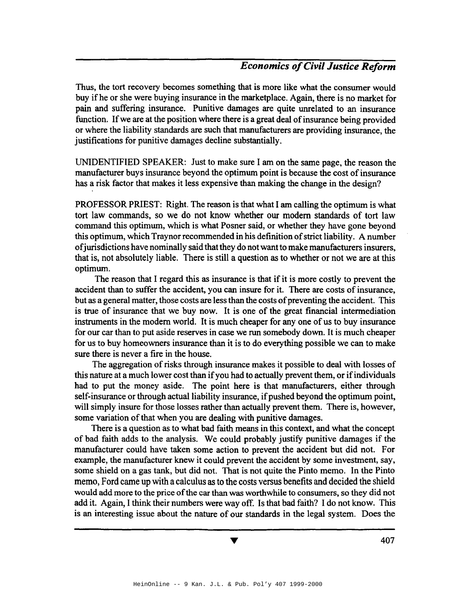Thus, the tort recovery becomes something that is more like what the consumer would buy if he or she were buying insurance in the marketplace. Again, there is no market for pain and suffering insurance. Punitive damages are quite unrelated to an insurance function. If we are at the position where there is a great deal of insurance being provided or where the liability standards are such that manufacturers are providing insurance, the justifications for punitive damages decline substantially.

UNIDENTIFIED SPEAKER: Just to make sure I am on the same page, the reason the manufacturer buys insurance beyond the optimum point is because the cost of insurance has a risk factor that makes it less expensive than making the change in the design?

PROFESSOR PRIEST: Right. The reason is that what I am calling the optimum is what tort law commands, so we do not know whether our modem standards of tort law command this optimum, which is what Posner said, or whether they have gone beyond this optimum, which Traynor recommended in his definition ofstrict liability. A number ofjurisdictions have nominally said that they do notwant to make manufacturers insurers, that is, not absolutely liable. There is still a question as to whether or not we are at this optimum.

The reason that I regard this as insurance is that if it is more costly to prevent the accident than to suffer the accident, you can insure for it. There are costs of insurance, but as a general matter, those costs are less than the costs of preventing the accident. This is true of insurance that we buy now. It is one of the great financial intermediation instruments in the modern world. It is much cheaper for any one of us to buy insurance for our car than to put aside reserves in case we run somebody down. It is much cheaper for us to buy homeowners insurance than it is to do everything possible we can to make sure there is never a fire in the house.

The aggregation of risks through insurance makes it possible to deal with losses of this nature at a much lower cost than if you had to actually prevent them, or if individuals had to put the money aside. The point here is that manufacturers, either through self-insurance or through actual liability insurance, if pushed beyond the optimum point, will simply insure for those losses rather than actually prevent them. There is, however, some variation of that when you are dealing with punitive damages.

There is a question as to what bad faith means in this context, and what the concept of bad faith adds to the analysis. We could probably justify punitive damages if the manufacturer could have taken some action to prevent the accident but did not. For example, the manufacturer knew it could prevent the accident by some investment, say, some shield on a gas tank, but did not. That is not quite the Pinto memo. In the Pinto memo, Ford came up with a calculus as to the costs versus benefits and decided the shield would add more to the price of the car than was worthwhile to consumers, so they did not add it. Again, I think their numbers were way off. Is that bad faith? I do not know. This is an interesting issue about the nature of our standards in the legal system. Does the

 $\blacktriangledown$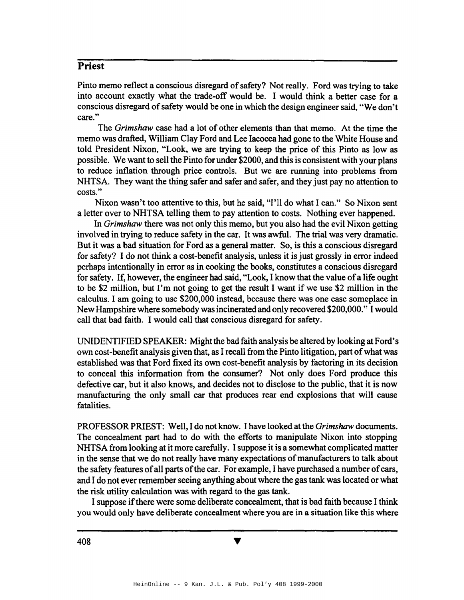Pinto memo reflect a conscious disregard of safety? Not really. Ford was trying to take into account exactly what the trade-off would be. I would think a better case for a conscious disregard of safety would be one in which the design engineer said, "We don't care."

The *Grimshaw* case had a lot of other elements than that memo. At the time the memo was drafted, William Clay Ford and Lee lacocca had gone to the White House and told President Nixon, "Look, we are trying to keep the price of this Pinto as low as possible. We want to sell the Pinto for under \$2000, and this is consistent with your plans to reduce inflation through price controls. But we are running into problems from NHTSA. They want the thing safer and safer and safer, and they just pay no attention to costs."

Nixon wasn't too attentive to this, but he said, "I'll do what I can." So Nixon sent a letter over to NHTSA telling them to pay attention to costs. Nothing ever happened.

In *Grimshaw* there was not only this memo, but you also had the evil Nixon getting involved in trying to reduce safety in the car. It was awful. The trial was very dramatic. But it was a bad situation for Ford as a general matter. So, is this a conscious disregard for safety? I do not think a cost-benefit analysis, unless it is just grossly in error indeed perhaps intentionally in error as in cooking the books, constitutes a conscious disregard for safety. If, however, the engineer had said, "Look, I know that the value of a life ought to be \$2 million, but I'm not going to get the result I want if we use \$2 million in the calculus. I am going to use \$200,000 instead, because there was one case someplace in NewHampshire where somebody wasincinerated and only recovered \$200,000." Iwould call that bad faith. I would call that conscious disregard for safety.

UNIDENTIFIED SPEAKER: Might the bad faith analysis be altered by looking at Ford's own cost-benefit analysis given that, as I recall from the Pinto litigation, part of what was established was that Ford fixed its own cost-benefit analysis by factoring in its decision to conceal this information from the consumer? Not only does Ford produce this defective car, but it also knows, and decides not to disclose to the public, that it is now manufacturing the only small car that produces rear end explosions that will cause fatalities.

PROFESSORPRIEST: Well, I do not know. I have looked at the *Grimshaw* documents. The concealment part had to do with the efforts to manipulate Nixon into stopping NHTSA from looking at it more carefully. I suppose it is a somewhat complicated matter in the sense that we do not really have many expectations of manufacturers to talk about the safety features of all parts of the car. For example, I have purchased a number of cars, and I do not ever remember seeing anything about where the gastank was located or what the risk utility calculation was with regard to the gas tank.

I suppose if there were some deliberate concealment, that is bad faith because I think you would only have deliberate concealment where you are in a situation like this where

v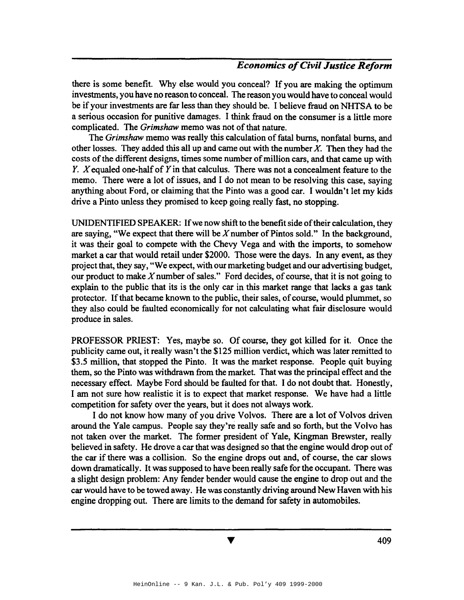there is some benefit. Why else would you conceal? If you are making the optimum investments, you have no reason to conceal. The reason you would have to conceal would be if your investments are far less than they should be. I believe fraud on NHTSA to be a serious occasion for punitive damages. I think fraud on the consumer is a little more complicated. The *Grimshaw* memo was not of that nature.

The *Grimshaw* memo was really this calculation of fatal burns, nonfatal burns, and other losses. They added this all up and came out with the number *X.* Then they had the costs of the different designs, times some number of million cars, and that came up with *Y. X* equaled one-half of *Y* in that calculus. There was not a concealment feature to the memo. There were a lot of issues, and I do not mean to be resolving this case, saying anything about Ford, or claiming that the Pinto was a good car. I wouldn't let my kids drive a Pinto unless they promised to keep going really fast, no stopping.

UNIDENTIFIED SPEAKER: Ifwe now shift to the benefitside oftheir calculation, they are saying, "We expect that there will be  $X$  number of Pintos sold." In the background, it was their goal to compete with the Chevy Vega and with the imports, to somehow market a car that would retail under \$2000. Those were the days. In any event, as they project that, they say, "We expect, with our marketing budget and our advertising budget, our product to make  $X$  number of sales." Ford decides, of course, that it is not going to explain to the public that its is the only car in this market range that lacks a gas tank protector. Ifthat became known to the public, their sales, ofcourse, would plummet, so they also could be faulted economically for not calculating what fair disclosure would produce in sales.

PROFESSOR PRIEST: Yes, maybe so. Of course, they got killed for it. Once the publicity came out, it really wasn't the \$125 million verdict, which was later remitted to \$3.5 million, that stopped the Pinto. It was the market response. People quit buying them, so the Pinto was withdrawn from the market. That was the principal effect and the necessary effect. Maybe Ford should be faulted for that. I do not doubt that. Honestly, I am not sure how realistic it is to expect that market response. We have had a little competition for safety over the years, but it does not always work.

I do not know how many of you drive Volvos. There are a lot of Volvos driven around the Yale campus. People say they're really safe and so forth, but the Volvo has not taken over the market. The former president of Yale, Kingman Brewster, really believed in safety. He drove a car that was designed so that the engine would drop out of the car if there was a collision. So the engine drops out and, of course, the car slows down dramatically. It was supposed to have been really safe for the occupant. There was a slight design problem: Any fender bender would cause the engine to drop out and the car would have to be towed away. He was constantly driving around New Haven with his engine dropping out. There are limits to the demand for safety in automobiles.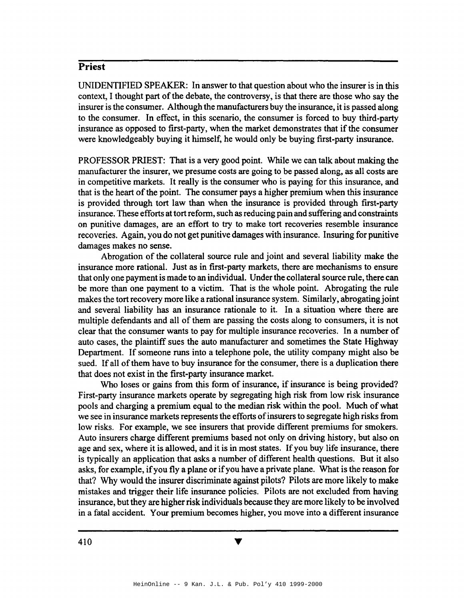UNIDENTIFIED SPEAKER: In answer to that question about who the insurer is in this context, I thought part of the debate, the controversy, is that there are those who say the insurer isthe consumer. Although the manufacturers buy the insurance, it is passed along to the consumer. In effect, in this scenario, the consumer is forced to buy third-party insurance as opposed to first-party, when the market demonstrates that if the consumer were knowledgeably buying it himself, he would only be buying first-party insurance.

PROFESSOR PRIEST: That is a very good point. While we can talk about making the manufacturer the insurer, we presume costs are going to be passed along, as all costs are in competitive markets. It really is the consumer who is paying for this insurance, and that is the heart of the point. The consumer pays a higher premium when this insurance is provided through tort law than when the insurance is provided through first-party insurance. These efforts at tort reform, such as reducing pain and suffering and constraints on punitive damages, are an effort to try to make tort recoveries resemble insurance recoveries. Again, you do not get punitive damages with insurance. Insuring for punitive damages makes no sense.

Abrogation of the collateral source rule and joint and several liability make the insurance more rational. Just as in first-party markets, there are mechanisms to ensure that only one payment is made to an individual. Under the collateral source rule, there can be more than one payment to a victim. That is the whole point. Abrogating the rule makes the tort recovery more like a rational insurance system. Similarly, abrogating joint and several liability has an insurance rationale to it. In a situation where there are multiple defendants and all of them are passing the costs along to consumers, it is not clear that the consumer wants to pay for multiple insurance recoveries. In a number of auto cases, the plaintiff sues the auto manufacturer and sometimes the State Highway Department. If someone runs into a telephone pole, the utility company might also be sued. If all of them have to buy insurance for the consumer, there is a duplication there that does not exist in the first-party insurance market.

Who loses or gains from this form of insurance, if insurance is being provided? First-party insurance markets operate by segregating high risk from low risk insurance pools and charging a premium equal to the median risk within the pool. Much of what we see in insurance markets represents the efforts of insurers to segregate high risks from low risks. For example, we see insurers that provide different premiums for smokers. Auto insurers charge different premiums based not only on driving history, but also on age and sex, where it is allowed, and it is in most states. If you buy life insurance, there is typically an application that asks a number of different health questions. But it also asks, for example, ifyou fly a plane or ifyou have a private plane. What is the reason for that? Why would the insurer discriminate against pilots? Pilots are more likely to make mistakes and trigger their life insurance policies. Pilots are not excluded from having insurance, but they are higher risk individuals because they are more likely to be involved in a fatal accident. Your premium becomes higher, you move into a different insurance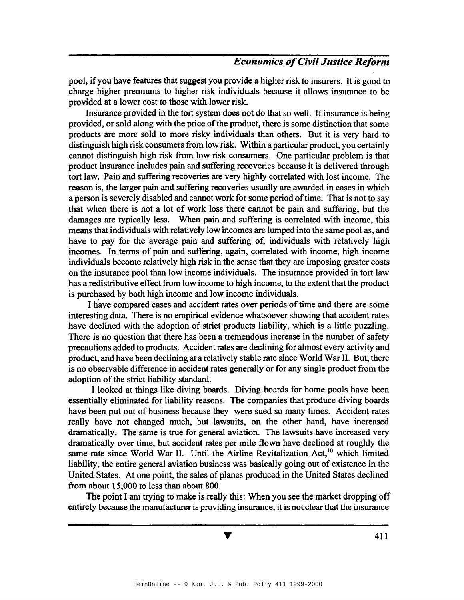pool, ifyou have features that suggest you provide a higher risk to insurers. It is good to charge higher premiums to higher risk individuals because it allows insurance to be provided at a lower cost to those with lower risk.

Insurance provided in the tort system does not do that so well. If insurance is being provided, or sold along with the price of the product, there is some distinction that some products are more sold to more risky individuals than others. But it is very hard to distinguish high risk consumers from low risk. Within a particular product, you certainly cannot distinguish high risk from low risk consumers. One particular problem is that product insurance includes pain and suffering recoveries because it is delivered through tort law. Pain and suffering recoveries are very highly correlated with lost income. The reason is, the larger pain and suffering recoveries usually are awarded in cases in which a person is severely disabled and cannot work for some period oftime. That is not to say that when there is not a lot of work loss there cannot be pain and suffering, but the damages are typically less. When pain and suffering is correlated with income, this means that individuals with relatively low incomes are lumped into the same pool as, and have to pay for the average pain and suffering of, individuals with relatively high incomes. In terms of pain and suffering, again, correlated with income, high income individuals become relatively high risk in the sense that they are imposing greater costs on the insurance pool than low income individuals. The insurance provided in tort law has a redistributive effect from low income to high income, to the extent that the product is purchased by both high income and low income individuals.

I have compared cases and accident rates over periods of time and there are some interesting data. There is no empirical evidence whatsoever showing that accident rates have declined with the adoption of strict products liability, which is a little puzzling. There is no question that there has been a tremendous increase in the number of safety precautions added to products. Accident rates are declining for almost every activity and product, and have been declining at a relatively stable rate since World War II. But, there is no observable difference in accident rates generally or for any single product from the adoption of the strict liability standard.

I looked at things like diving boards. Diving boards for home pools have been essentially eliminated for liability reasons. The companies that produce diving boards have been put out of business because they were sued so many times. Accident rates really have not changed much, but lawsuits, on the other hand, have increased dramatically. The same is true for general aviation. The lawsuits have increased very dramatically over time, but accident rates per mile flown have declined at roughly the same rate since World War II. Until the Airline Revitalization Act,<sup>10</sup> which limited liability, the entire general aviation business was basically going out of existence in the United States. At one point, the sales of planes produced in the United States declined from about 15,000 to less than about 800.

The point I am trying to make is really this: When you see the market dropping off entirely because the manufacturer is providing insurance, it is not clear that the insurance